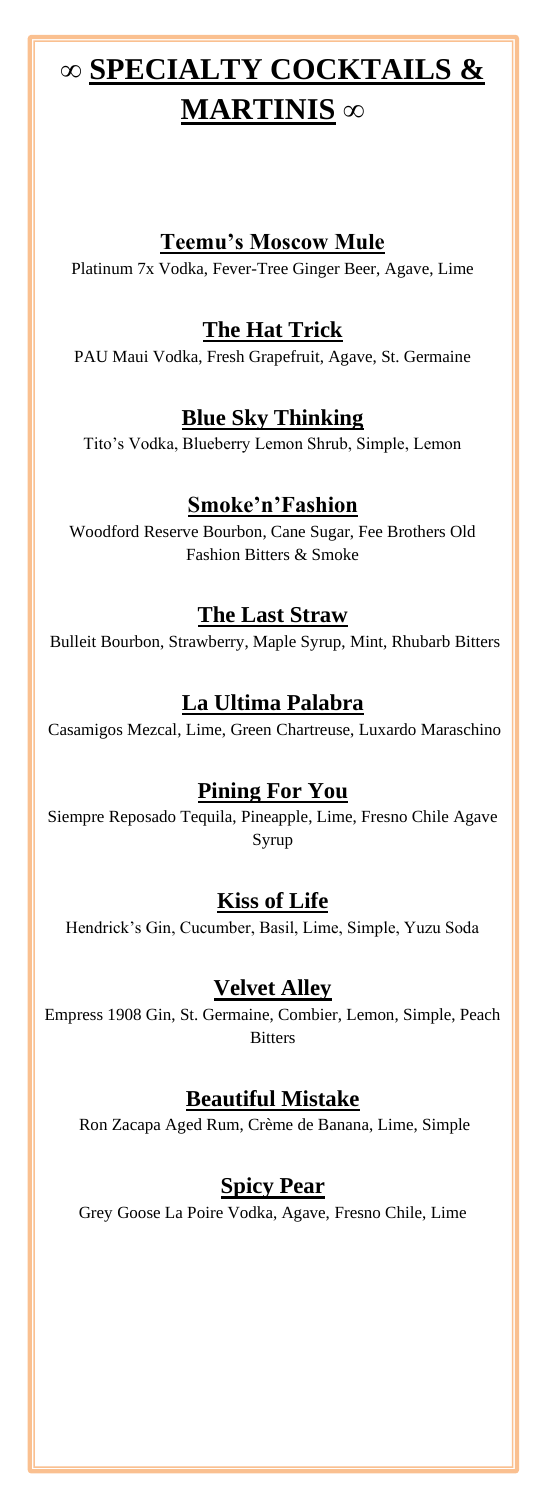# **∞ SPECIALTY COCKTAILS & MARTINIS ∞**

#### **Teemu's Moscow Mule**

Platinum 7x Vodka, Fever-Tree Ginger Beer, Agave, Lime

## **The Hat Trick**

PAU Maui Vodka, Fresh Grapefruit, Agave, St. Germaine

#### **Blue Sky Thinking**

Tito's Vodka, Blueberry Lemon Shrub, Simple, Lemon

## **Smoke'n'Fashion**

Woodford Reserve Bourbon, Cane Sugar, Fee Brothers Old Fashion Bitters & Smoke

#### **The Last Straw**

Bulleit Bourbon, Strawberry, Maple Syrup, Mint, Rhubarb Bitters

## **La Ultima Palabra**

Casamigos Mezcal, Lime, Green Chartreuse, Luxardo Maraschino

## **Pining For You**

Siempre Reposado Tequila, Pineapple, Lime, Fresno Chile Agave Syrup

## **Kiss of Life**

Hendrick's Gin, Cucumber, Basil, Lime, Simple, Yuzu Soda

## **Velvet Alley**

Empress 1908 Gin, St. Germaine, Combier, Lemon, Simple, Peach **Bitters** 

## **Beautiful Mistake**

Ron Zacapa Aged Rum, Crème de Banana, Lime, Simple

#### **Spicy Pear**

Grey Goose La Poire Vodka, Agave, Fresno Chile, Lime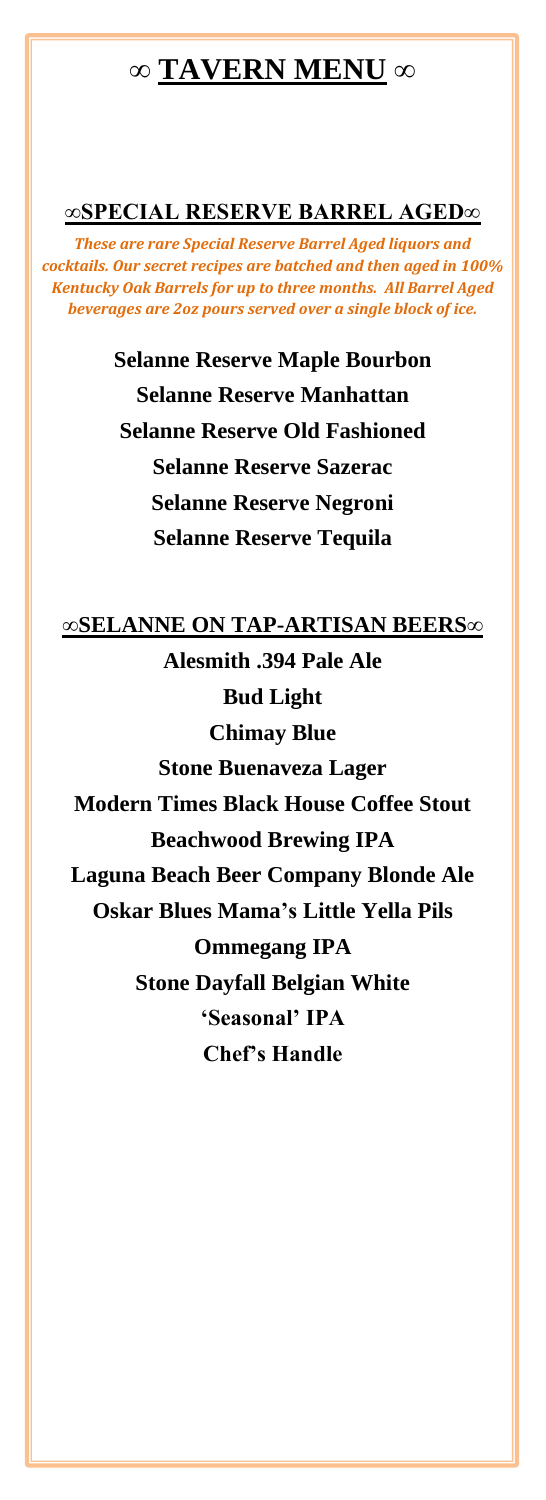## **∞ TAVERN MENU ∞**

#### **∞SPECIAL RESERVE BARREL AGED∞**

*These are rare Special Reserve Barrel Aged liquors and cocktails. Our secret recipes are batched and then aged in 100% Kentucky Oak Barrels for up to three months. All Barrel Aged beverages are 2oz pours served over a single block of ice.*

> **Selanne Reserve Maple Bourbon Selanne Reserve Manhattan Selanne Reserve Old Fashioned Selanne Reserve Sazerac Selanne Reserve Negroni Selanne Reserve Tequila**

#### **∞SELANNE ON TAP-ARTISAN BEERS∞**

**Alesmith .394 Pale Ale Bud Light Chimay Blue Stone Buenaveza Lager Modern Times Black House Coffee Stout Beachwood Brewing IPA Laguna Beach Beer Company Blonde Ale Oskar Blues Mama's Little Yella Pils Ommegang IPA Stone Dayfall Belgian White 'Seasonal' IPA Chef's Handle**